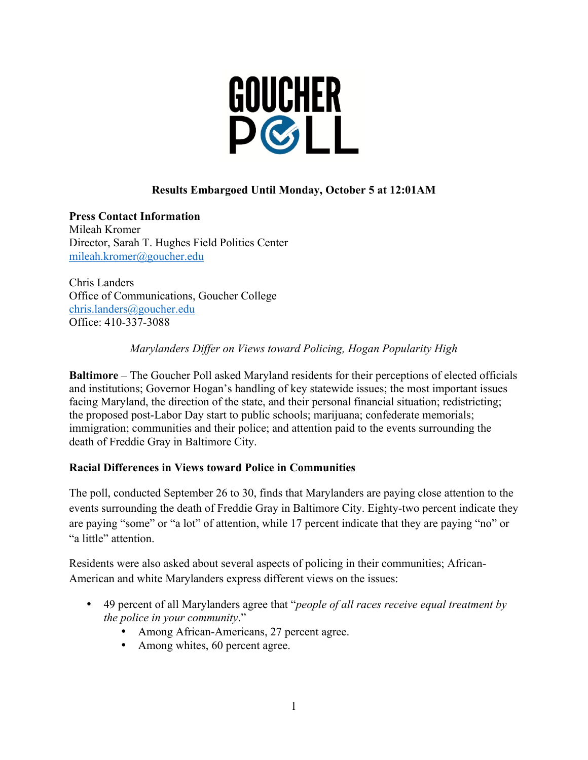

# **Results Embargoed Until Monday, October 5 at 12:01AM**

**Press Contact Information** Mileah Kromer Director, Sarah T. Hughes Field Politics Center mileah.kromer@goucher.edu

Chris Landers Office of Communications, Goucher College chris.landers@goucher.edu Office: 410-337-3088

*Marylanders Differ on Views toward Policing, Hogan Popularity High*

**Baltimore** – The Goucher Poll asked Maryland residents for their perceptions of elected officials and institutions; Governor Hogan's handling of key statewide issues; the most important issues facing Maryland, the direction of the state, and their personal financial situation; redistricting; the proposed post-Labor Day start to public schools; marijuana; confederate memorials; immigration; communities and their police; and attention paid to the events surrounding the death of Freddie Gray in Baltimore City.

#### **Racial Differences in Views toward Police in Communities**

The poll, conducted September 26 to 30, finds that Marylanders are paying close attention to the events surrounding the death of Freddie Gray in Baltimore City. Eighty-two percent indicate they are paying "some" or "a lot" of attention, while 17 percent indicate that they are paying "no" or "a little" attention.

Residents were also asked about several aspects of policing in their communities; African-American and white Marylanders express different views on the issues:

- 49 percent of all Marylanders agree that "*people of all races receive equal treatment by the police in your community*."
	- Among African-Americans, 27 percent agree.
	- Among whites, 60 percent agree.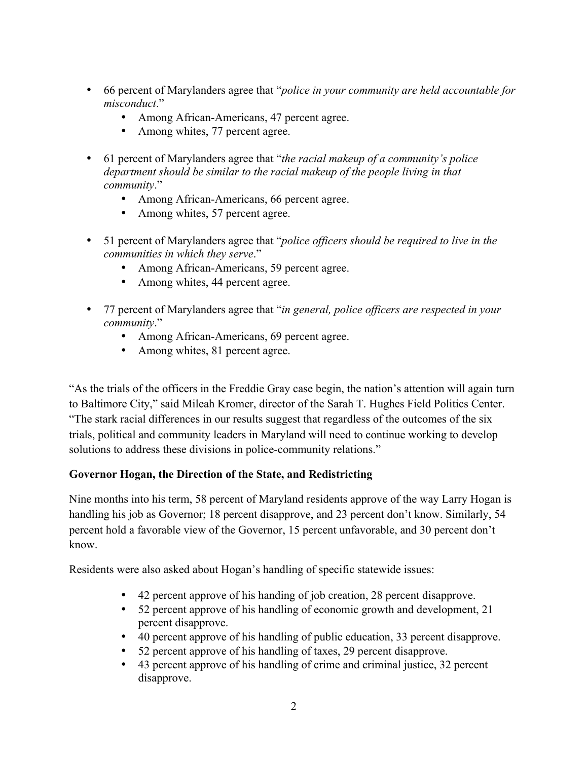- 66 percent of Marylanders agree that "*police in your community are held accountable for misconduct*."
	- Among African-Americans, 47 percent agree.
	- Among whites, 77 percent agree.
- 61 percent of Marylanders agree that "*the racial makeup of a community's police department should be similar to the racial makeup of the people living in that community*."
	- Among African-Americans, 66 percent agree.
	- Among whites, 57 percent agree.
- 51 percent of Marylanders agree that "*police officers should be required to live in the communities in which they serve*."
	- Among African-Americans, 59 percent agree.
	- Among whites, 44 percent agree.
- 77 percent of Marylanders agree that "*in general, police officers are respected in your community*."
	- Among African-Americans, 69 percent agree.
	- Among whites, 81 percent agree.

"As the trials of the officers in the Freddie Gray case begin, the nation's attention will again turn to Baltimore City," said Mileah Kromer, director of the Sarah T. Hughes Field Politics Center. "The stark racial differences in our results suggest that regardless of the outcomes of the six trials, political and community leaders in Maryland will need to continue working to develop solutions to address these divisions in police-community relations."

#### **Governor Hogan, the Direction of the State, and Redistricting**

Nine months into his term, 58 percent of Maryland residents approve of the way Larry Hogan is handling his job as Governor; 18 percent disapprove, and 23 percent don't know. Similarly, 54 percent hold a favorable view of the Governor, 15 percent unfavorable, and 30 percent don't know.

Residents were also asked about Hogan's handling of specific statewide issues:

- 42 percent approve of his handing of job creation, 28 percent disapprove.
- 52 percent approve of his handling of economic growth and development, 21 percent disapprove.
- 40 percent approve of his handling of public education, 33 percent disapprove.
- 52 percent approve of his handling of taxes, 29 percent disapprove.
- 43 percent approve of his handling of crime and criminal justice, 32 percent disapprove.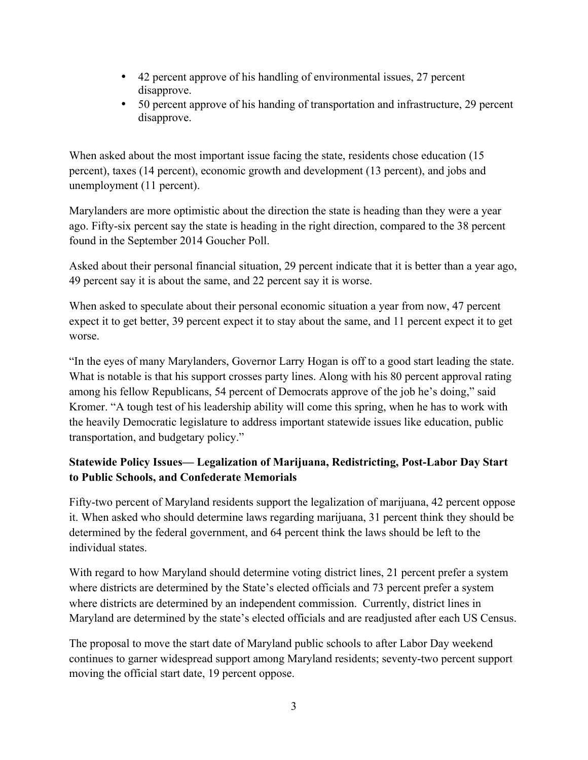- 42 percent approve of his handling of environmental issues, 27 percent disapprove.
- 50 percent approve of his handing of transportation and infrastructure, 29 percent disapprove.

When asked about the most important issue facing the state, residents chose education (15 percent), taxes (14 percent), economic growth and development (13 percent), and jobs and unemployment (11 percent).

Marylanders are more optimistic about the direction the state is heading than they were a year ago. Fifty-six percent say the state is heading in the right direction, compared to the 38 percent found in the September 2014 Goucher Poll.

Asked about their personal financial situation, 29 percent indicate that it is better than a year ago, 49 percent say it is about the same, and 22 percent say it is worse.

When asked to speculate about their personal economic situation a year from now, 47 percent expect it to get better, 39 percent expect it to stay about the same, and 11 percent expect it to get worse.

"In the eyes of many Marylanders, Governor Larry Hogan is off to a good start leading the state. What is notable is that his support crosses party lines. Along with his 80 percent approval rating among his fellow Republicans, 54 percent of Democrats approve of the job he's doing," said Kromer. "A tough test of his leadership ability will come this spring, when he has to work with the heavily Democratic legislature to address important statewide issues like education, public transportation, and budgetary policy."

# **Statewide Policy Issues— Legalization of Marijuana, Redistricting, Post-Labor Day Start to Public Schools, and Confederate Memorials**

Fifty-two percent of Maryland residents support the legalization of marijuana, 42 percent oppose it. When asked who should determine laws regarding marijuana, 31 percent think they should be determined by the federal government, and 64 percent think the laws should be left to the individual states.

With regard to how Maryland should determine voting district lines, 21 percent prefer a system where districts are determined by the State's elected officials and 73 percent prefer a system where districts are determined by an independent commission. Currently, district lines in Maryland are determined by the state's elected officials and are readjusted after each US Census.

The proposal to move the start date of Maryland public schools to after Labor Day weekend continues to garner widespread support among Maryland residents; seventy-two percent support moving the official start date, 19 percent oppose.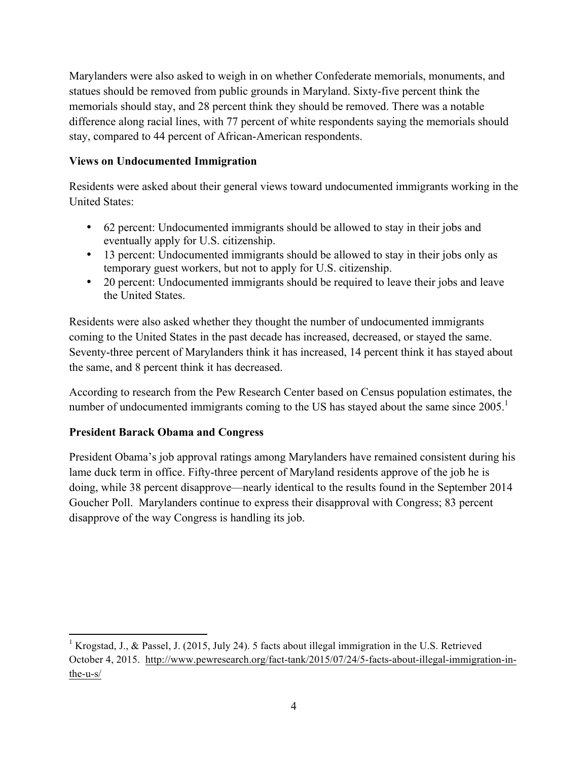Marylanders were also asked to weigh in on whether Confederate memorials, monuments, and statues should be removed from public grounds in Maryland. Sixty-five percent think the memorials should stay, and 28 percent think they should be removed. There was a notable difference along racial lines, with 77 percent of white respondents saying the memorials should stay, compared to 44 percent of African-American respondents.

#### **Views on Undocumented Immigration**

Residents were asked about their general views toward undocumented immigrants working in the United States:

- 62 percent: Undocumented immigrants should be allowed to stay in their jobs and eventually apply for U.S. citizenship.
- 13 percent: Undocumented immigrants should be allowed to stay in their jobs only as temporary guest workers, but not to apply for U.S. citizenship.
- 20 percent: Undocumented immigrants should be required to leave their jobs and leave the United States.

Residents were also asked whether they thought the number of undocumented immigrants coming to the United States in the past decade has increased, decreased, or stayed the same. Seventy-three percent of Marylanders think it has increased, 14 percent think it has stayed about the same, and 8 percent think it has decreased.

According to research from the Pew Research Center based on Census population estimates, the number of undocumented immigrants coming to the US has stayed about the same since  $2005$ .<sup>1</sup>

#### **President Barack Obama and Congress**

President Obama's job approval ratings among Marylanders have remained consistent during his lame duck term in office. Fifty-three percent of Maryland residents approve of the job he is doing, while 38 percent disapprove—nearly identical to the results found in the September 2014 Goucher Poll. Marylanders continue to express their disapproval with Congress; 83 percent disapprove of the way Congress is handling its job.

<sup>!!!!!!!!!!!!!!!!!!!!!!!!!!!!!!!!!!!!!!!!!!!!!!!!!!!!!!!!!!!!</sup> <sup>1</sup> Krogstad, J., & Passel, J. (2015, July 24). 5 facts about illegal immigration in the U.S. Retrieved October 4, 2015. http://www.pewresearch.org/fact-tank/2015/07/24/5-facts-about-illegal-immigration-inthe-u-s/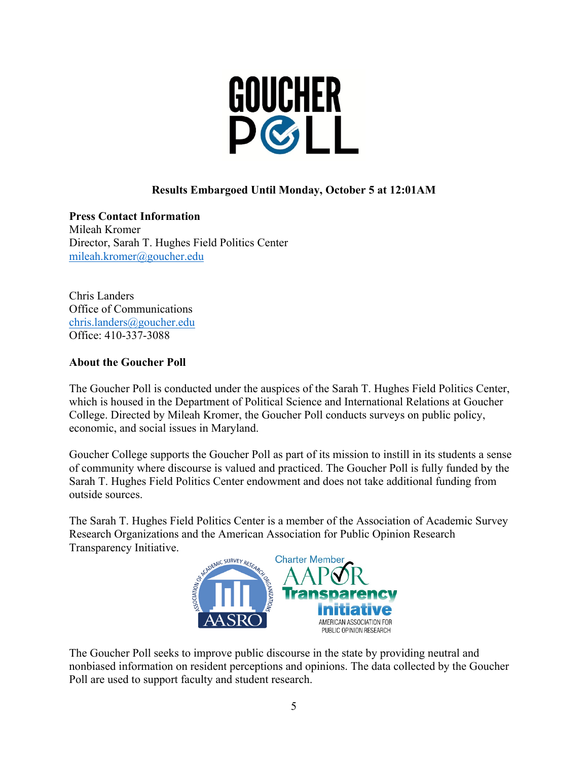

# **Results Embargoed Until Monday, October 5 at 12:01AM**

**Press Contact Information** Mileah Kromer Director, Sarah T. Hughes Field Politics Center mileah.kromer@goucher.edu

Chris Landers Office of Communications chris.landers@goucher.edu Office: 410-337-3088

#### **About the Goucher Poll**

The Goucher Poll is conducted under the auspices of the Sarah T. Hughes Field Politics Center, which is housed in the Department of Political Science and International Relations at Goucher College. Directed by Mileah Kromer, the Goucher Poll conducts surveys on public policy, economic, and social issues in Maryland.

Goucher College supports the Goucher Poll as part of its mission to instill in its students a sense of community where discourse is valued and practiced. The Goucher Poll is fully funded by the Sarah T. Hughes Field Politics Center endowment and does not take additional funding from outside sources.

The Sarah T. Hughes Field Politics Center is a member of the Association of Academic Survey Research Organizations and the American Association for Public Opinion Research Transparency Initiative.



The Goucher Poll seeks to improve public discourse in the state by providing neutral and nonbiased information on resident perceptions and opinions. The data collected by the Goucher Poll are used to support faculty and student research.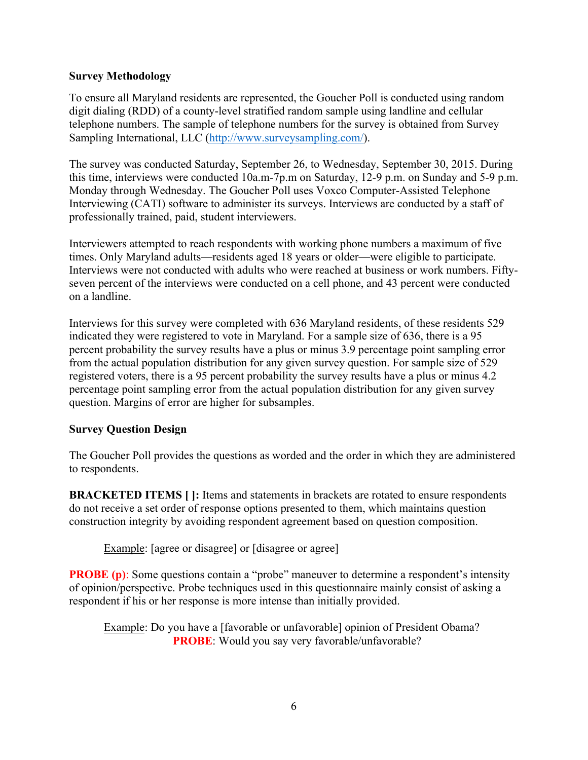#### **Survey Methodology**

To ensure all Maryland residents are represented, the Goucher Poll is conducted using random digit dialing (RDD) of a county-level stratified random sample using landline and cellular telephone numbers. The sample of telephone numbers for the survey is obtained from Survey Sampling International, LLC (http://www.surveysampling.com/).

The survey was conducted Saturday, September 26, to Wednesday, September 30, 2015. During this time, interviews were conducted 10a.m-7p.m on Saturday, 12-9 p.m. on Sunday and 5-9 p.m. Monday through Wednesday. The Goucher Poll uses Voxco Computer-Assisted Telephone Interviewing (CATI) software to administer its surveys. Interviews are conducted by a staff of professionally trained, paid, student interviewers.

Interviewers attempted to reach respondents with working phone numbers a maximum of five times. Only Maryland adults—residents aged 18 years or older—were eligible to participate. Interviews were not conducted with adults who were reached at business or work numbers. Fiftyseven percent of the interviews were conducted on a cell phone, and 43 percent were conducted on a landline.

Interviews for this survey were completed with 636 Maryland residents, of these residents 529 indicated they were registered to vote in Maryland. For a sample size of 636, there is a 95 percent probability the survey results have a plus or minus 3.9 percentage point sampling error from the actual population distribution for any given survey question. For sample size of 529 registered voters, there is a 95 percent probability the survey results have a plus or minus 4.2 percentage point sampling error from the actual population distribution for any given survey question. Margins of error are higher for subsamples.

#### **Survey Question Design**

The Goucher Poll provides the questions as worded and the order in which they are administered to respondents.

**BRACKETED ITEMS** [ ]: Items and statements in brackets are rotated to ensure respondents do not receive a set order of response options presented to them, which maintains question construction integrity by avoiding respondent agreement based on question composition.

Example: [agree or disagree] or [disagree or agree]

**PROBE (p)**: Some questions contain a "probe" maneuver to determine a respondent's intensity of opinion/perspective. Probe techniques used in this questionnaire mainly consist of asking a respondent if his or her response is more intense than initially provided.

Example: Do you have a [favorable or unfavorable] opinion of President Obama? **PROBE**: Would you say very favorable/unfavorable?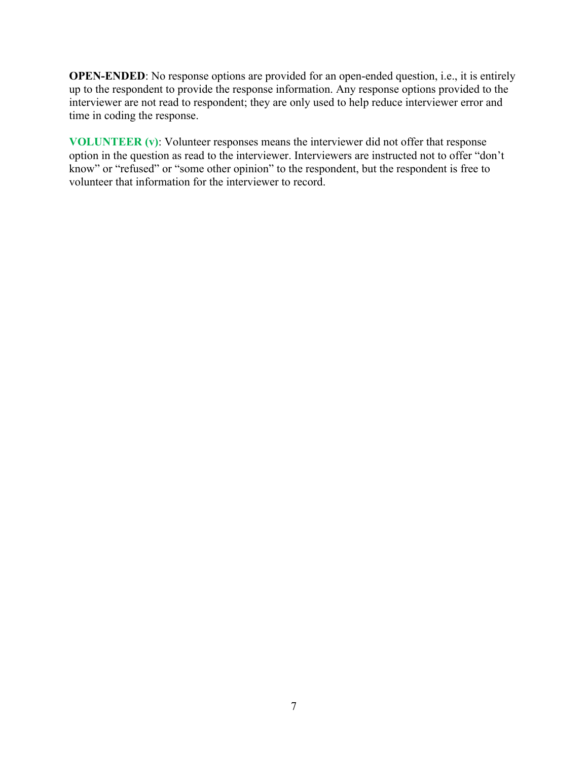**OPEN-ENDED**: No response options are provided for an open-ended question, i.e., it is entirely up to the respondent to provide the response information. Any response options provided to the interviewer are not read to respondent; they are only used to help reduce interviewer error and time in coding the response.

**VOLUNTEER (v)**: Volunteer responses means the interviewer did not offer that response option in the question as read to the interviewer. Interviewers are instructed not to offer "don't know" or "refused" or "some other opinion" to the respondent, but the respondent is free to volunteer that information for the interviewer to record.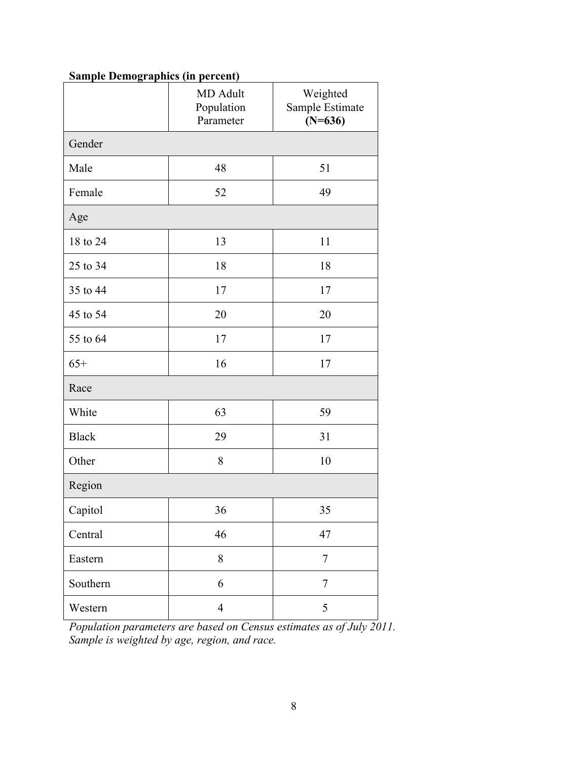| <b>Sample Demographics (in percent)</b> |  |
|-----------------------------------------|--|
|                                         |  |

|              | MD Adult<br>Population<br>Parameter | Weighted<br>Sample Estimate<br>$(N=636)$ |  |  |  |
|--------------|-------------------------------------|------------------------------------------|--|--|--|
| Gender       |                                     |                                          |  |  |  |
| Male         | 48                                  | 51                                       |  |  |  |
| Female       | 52                                  | 49                                       |  |  |  |
| Age          |                                     |                                          |  |  |  |
| 18 to 24     | 13                                  | 11                                       |  |  |  |
| 25 to 34     | 18                                  | 18                                       |  |  |  |
| 35 to 44     | 17                                  | 17                                       |  |  |  |
| 45 to 54     | 20                                  | 20                                       |  |  |  |
| 55 to 64     | 17                                  | 17                                       |  |  |  |
| $65+$        | 16                                  | 17                                       |  |  |  |
| Race         |                                     |                                          |  |  |  |
| White        | 63                                  | 59                                       |  |  |  |
| <b>Black</b> | 29                                  | 31                                       |  |  |  |
| Other        | 8                                   | 10                                       |  |  |  |
| Region       |                                     |                                          |  |  |  |
| Capitol      | 36                                  | 35                                       |  |  |  |
| Central      | 46                                  | 47                                       |  |  |  |
| Eastern      | $8\,$                               | $\tau$                                   |  |  |  |
| Southern     | 6                                   | $\overline{7}$                           |  |  |  |
| Western      | $\overline{4}$                      | 5                                        |  |  |  |

*Population parameters are based on Census estimates as of July 2011. Sample is weighted by age, region, and race.*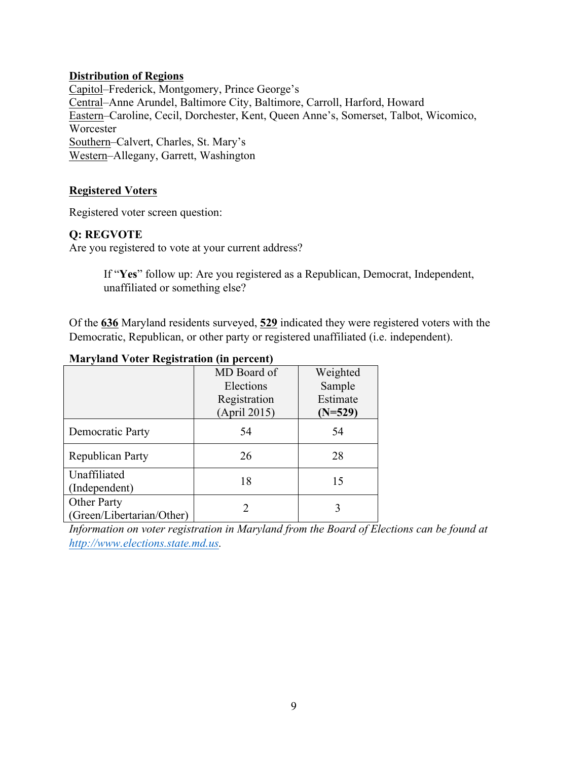#### **Distribution of Regions**

Capitol–Frederick, Montgomery, Prince George's Central–Anne Arundel, Baltimore City, Baltimore, Carroll, Harford, Howard Eastern–Caroline, Cecil, Dorchester, Kent, Queen Anne's, Somerset, Talbot, Wicomico, **Worcester** Southern–Calvert, Charles, St. Mary's Western–Allegany, Garrett, Washington

### **Registered Voters**

Registered voter screen question:

### **Q: REGVOTE**

Are you registered to vote at your current address?

If "**Yes**" follow up: Are you registered as a Republican, Democrat, Independent, unaffiliated or something else?

Of the **636** Maryland residents surveyed, **529** indicated they were registered voters with the Democratic, Republican, or other party or registered unaffiliated (i.e. independent).

#### **Maryland Voter Registration (in percent)**

|                                                 | MD Board of<br>Elections<br>Registration<br>(April 2015) | Weighted<br>Sample<br>Estimate<br>$(N=529)$ |
|-------------------------------------------------|----------------------------------------------------------|---------------------------------------------|
| Democratic Party                                | 54                                                       | 54                                          |
| Republican Party                                | 26                                                       | 28                                          |
| Unaffiliated<br>(Independent)                   | 18                                                       | 15                                          |
| <b>Other Party</b><br>(Green/Libertarian/Other) |                                                          | 3                                           |

*Information on voter registration in Maryland from the Board of Elections can be found at http://www.elections.state.md.us.*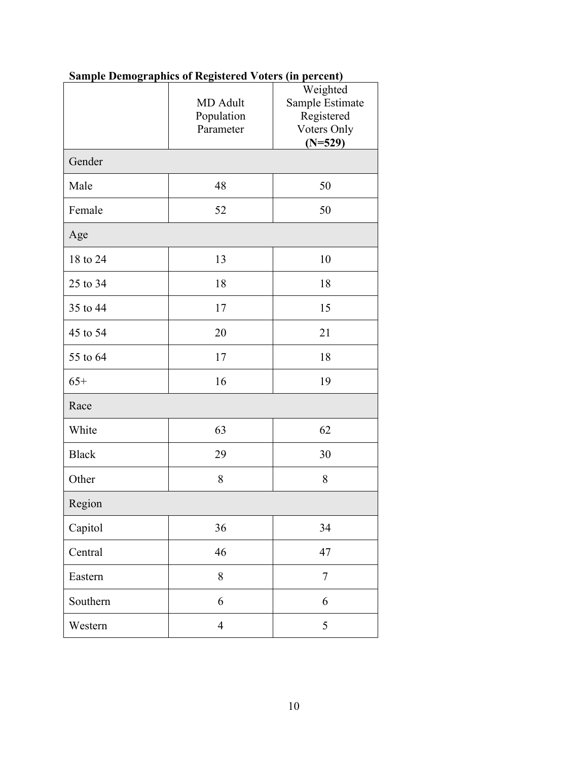|              | <b>MD</b> Adult<br>Population<br>Parameter | Weighted<br>Sample Estimate<br>Registered<br>Voters Only<br>$(N=529)$ |
|--------------|--------------------------------------------|-----------------------------------------------------------------------|
| Gender       |                                            |                                                                       |
| Male         | 48                                         | 50                                                                    |
| Female       | 52                                         | 50                                                                    |
| Age          |                                            |                                                                       |
| 18 to 24     | 13                                         | 10                                                                    |
| 25 to 34     | 18                                         | 18                                                                    |
| 35 to 44     | 17                                         | 15                                                                    |
| 45 to 54     | 20                                         | 21                                                                    |
| 55 to 64     | 17                                         | 18                                                                    |
| $65+$        | 16                                         | 19                                                                    |
| Race         |                                            |                                                                       |
| White        | 63                                         | 62                                                                    |
| <b>Black</b> | 29                                         | 30                                                                    |
| Other        | 8                                          | 8                                                                     |
| Region       |                                            |                                                                       |
| Capitol      | 36                                         | 34                                                                    |
| Central      | 46                                         | 47                                                                    |
| Eastern      | 8                                          | $\overline{7}$                                                        |
| Southern     | 6                                          | 6                                                                     |
| Western      | $\overline{4}$                             | 5                                                                     |

# **Sample Demographics of Registered Voters (in percent)**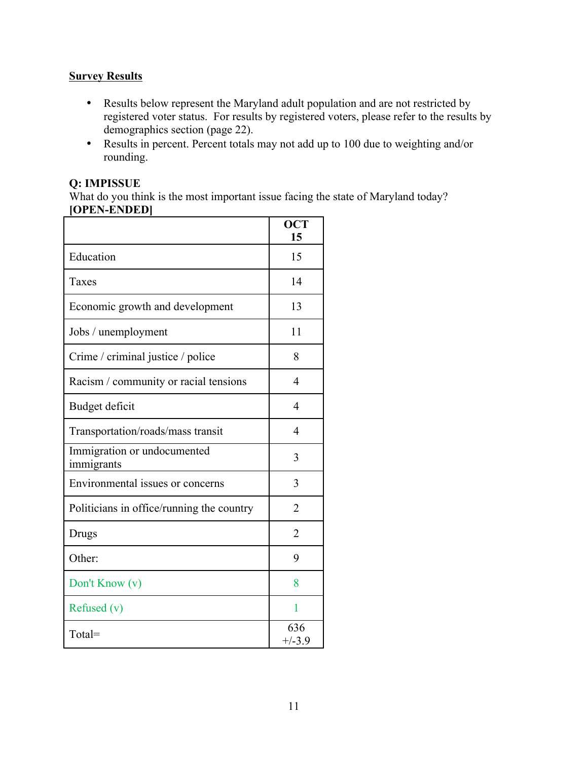## **Survey Results**

- Results below represent the Maryland adult population and are not restricted by registered voter status. For results by registered voters, please refer to the results by demographics section (page 22).
- Results in percent. Percent totals may not add up to 100 due to weighting and/or rounding.

#### **Q: IMPISSUE**

What do you think is the most important issue facing the state of Maryland today? **[OPEN-ENDED]**

| ,,,,,,,,,,,,                              | <b>OCT</b><br>15 |
|-------------------------------------------|------------------|
| Education                                 | 15               |
| Taxes                                     | 14               |
| Economic growth and development           | 13               |
| Jobs / unemployment                       | 11               |
| Crime / criminal justice / police         | 8                |
| Racism / community or racial tensions     | $\overline{4}$   |
| Budget deficit                            | 4                |
| Transportation/roads/mass transit         | 4                |
| Immigration or undocumented<br>immigrants | 3                |
| Environmental issues or concerns          | 3                |
| Politicians in office/running the country | 2                |
| Drugs                                     | $\overline{2}$   |
| Other:                                    | 9                |
| Don't Know (v)                            | 8                |
| Refused $(v)$                             | 1                |
| Total=                                    | 636<br>$+/-3.9$  |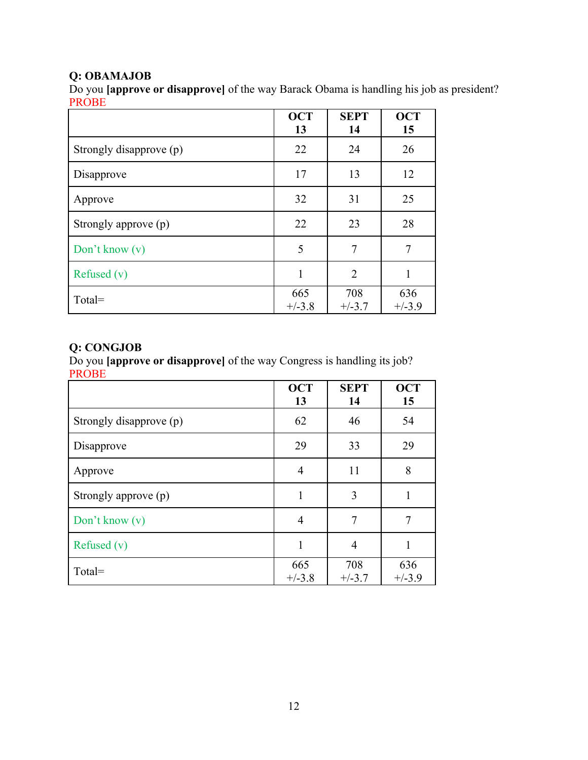# **Q: OBAMAJOB**

Do you **[approve or disapprove]** of the way Barack Obama is handling his job as president? PROBE

|                         | <b>OCT</b><br>13 | <b>SEPT</b><br>14 | <b>OCT</b><br>15 |
|-------------------------|------------------|-------------------|------------------|
| Strongly disapprove (p) | 22               | 24                | 26               |
| Disapprove              | 17               | 13                | 12               |
| Approve                 | 32               | 31                | 25               |
| Strongly approve (p)    | 22               | 23                | 28               |
| Don't know $(v)$        | 5                | 7                 | 7                |
| Refused $(v)$           | 1                | $\overline{2}$    | 1                |
| Total=                  | 665<br>$+/-3.8$  | 708<br>$+/-3.7$   | 636<br>$+/-3.9$  |

### **Q: CONGJOB**

Do you **[approve or disapprove]** of the way Congress is handling its job? PROBE

|                         | <b>OCT</b><br>13 | <b>SEPT</b><br>14 | <b>OCT</b><br>15 |
|-------------------------|------------------|-------------------|------------------|
| Strongly disapprove (p) | 62               | 46                | 54               |
| Disapprove              | 29               | 33                | 29               |
| Approve                 | 4                | 11                | 8                |
| Strongly approve (p)    | 1                | 3                 | 1                |
| Don't know $(v)$        | $\overline{4}$   | 7                 |                  |
| Refused $(v)$           | 1                | $\overline{4}$    | 1                |
| Total=                  | 665<br>$+/-3.8$  | 708<br>$+/-3.7$   | 636<br>$+/-3.9$  |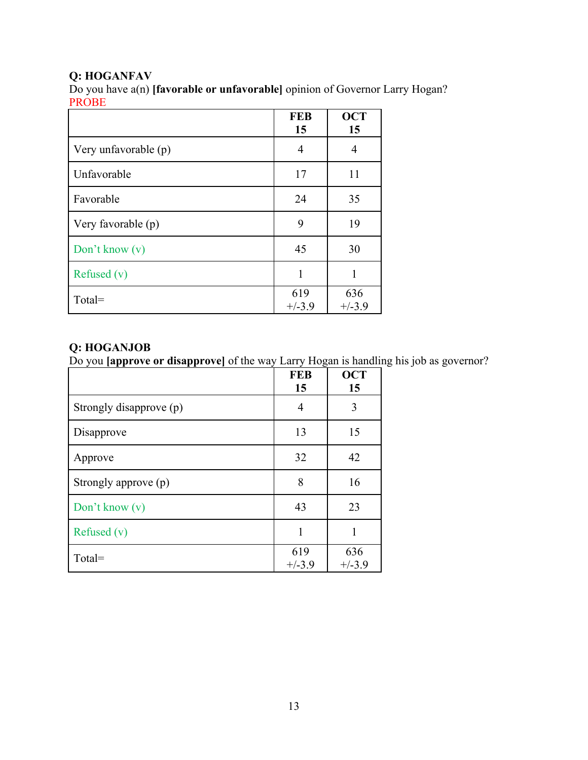# **Q: HOGANFAV**

Do you have a(n) **[favorable or unfavorable]** opinion of Governor Larry Hogan? PROBE

|                      | <b>FEB</b><br>15 | <b>OCT</b><br>15 |
|----------------------|------------------|------------------|
| Very unfavorable (p) | 4                | 4                |
| Unfavorable          | 17               | 11               |
| Favorable            | 24               | 35               |
| Very favorable (p)   | 9                | 19               |
| Don't know $(v)$     | 45               | 30               |
| Refused $(v)$        | 1                | 1                |
| Total=               | 619<br>$+/-3.9$  | 636<br>$+/-3.9$  |

### **Q: HOGANJOB**

Do you **[approve or disapprove]** of the way Larry Hogan is handling his job as governor?

|                         | <b>FEB</b><br>15 | <b>OCT</b><br>15 |
|-------------------------|------------------|------------------|
| Strongly disapprove (p) | 4                | 3                |
| Disapprove              | 13               | 15               |
| Approve                 | 32               | 42               |
| Strongly approve (p)    | 8                | 16               |
| Don't know $(v)$        | 43               | 23               |
| Refused $(v)$           | 1                | 1                |
| $Total =$               | 619<br>$+/-3.9$  | 636<br>$+/-3.9$  |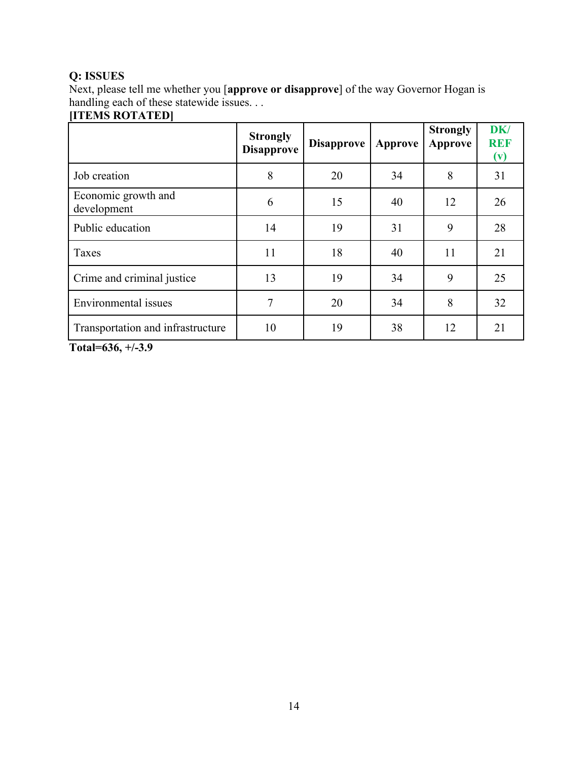# **Q: ISSUES**

Next, please tell me whether you [**approve or disapprove**] of the way Governor Hogan is handling each of these statewide issues. . .

### **[ITEMS ROTATED]**

|                                    | <b>Strongly</b><br><b>Disapprove</b> | <b>Disapprove</b> | Approve | <b>Strongly</b><br>Approve | <b>DK</b><br><b>REF</b><br>(v) |
|------------------------------------|--------------------------------------|-------------------|---------|----------------------------|--------------------------------|
| Job creation                       | 8                                    | 20                | 34      | 8                          | 31                             |
| Economic growth and<br>development | 6                                    | 15                | 40      | 12                         | 26                             |
| Public education                   | 14                                   | 19                | 31      | 9                          | 28                             |
| Taxes                              | 11                                   | 18                | 40      | 11                         | 21                             |
| Crime and criminal justice         | 13                                   | 19                | 34      | 9                          | 25                             |
| Environmental issues               | 7                                    | 20                | 34      | 8                          | 32                             |
| Transportation and infrastructure  | 10                                   | 19                | 38      | 12                         | 21                             |

**Total=636, +/-3.9**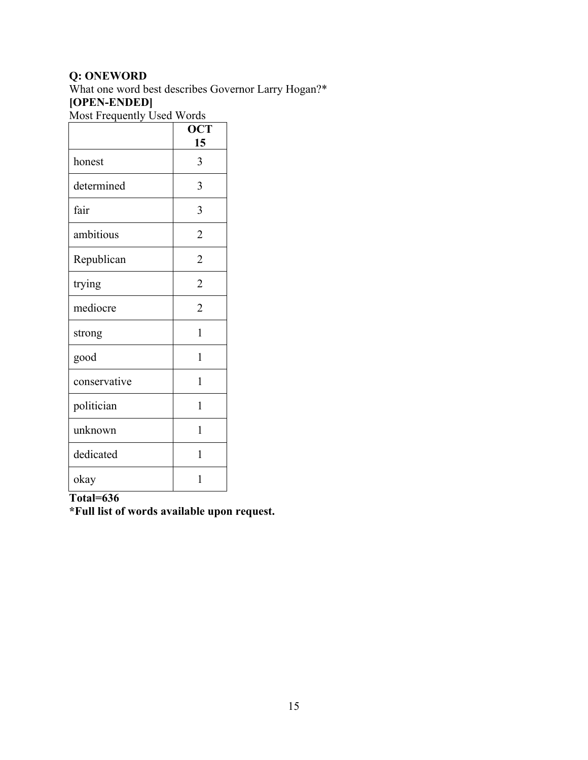# **Q: ONEWORD**

What one word best describes Governor Larry Hogan?\* **[OPEN-ENDED]**

Most Frequently Used Words

|              | <b>OCT</b><br>15 |
|--------------|------------------|
| honest       | 3                |
| determined   | 3                |
| fair         | 3                |
| ambitious    | $\overline{2}$   |
| Republican   | $\overline{2}$   |
| trying       | $\overline{2}$   |
| mediocre     | $\overline{2}$   |
| strong       | $\mathbf{1}$     |
| good         | 1                |
| conservative | 1                |
| politician   | 1                |
| unknown      | 1                |
| dedicated    | 1                |
| okay         | 1                |

# **Total=636**

**\*Full list of words available upon request.**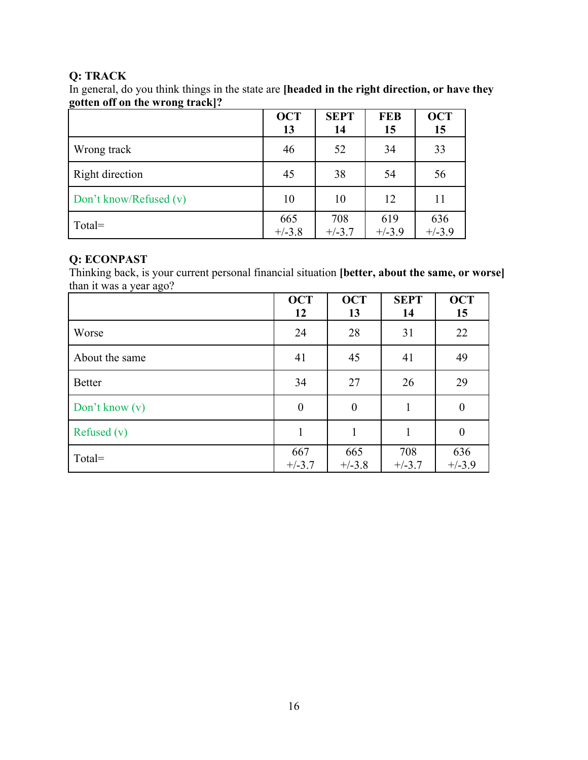## **Q: TRACK**

In general, do you think things in the state are **[headed in the right direction, or have they gotten off on the wrong track]?**

|                        | <b>OCT</b><br>13 | <b>SEPT</b><br>14 | <b>FEB</b><br>15 | <b>OCT</b><br>15 |
|------------------------|------------------|-------------------|------------------|------------------|
| Wrong track            | 46               | 52                | 34               | 33               |
| Right direction        | 45               | 38                | 54               | 56               |
| Don't know/Refused (v) | 10               | 10                | 12               | 11               |
| $Total =$              | 665<br>$+/-3.8$  | 708<br>$+/-3.7$   | 619<br>$+/-3.9$  | 636<br>$+/-3.9$  |

### **Q: ECONPAST**

Thinking back, is your current personal financial situation **[better, about the same, or worse]** than it was a year ago?

|                  | <b>OCT</b><br>12 | <b>OCT</b><br>13 | <b>SEPT</b><br>14 | <b>OCT</b><br>15 |
|------------------|------------------|------------------|-------------------|------------------|
| Worse            | 24               | 28               | 31                | 22               |
| About the same   | 41               | 45               | 41                | 49               |
| <b>Better</b>    | 34               | 27               | 26                | 29               |
| Don't know $(v)$ | $\overline{0}$   | $\overline{0}$   | 1                 | $\theta$         |
| Refused $(v)$    |                  | $\mathbf{1}$     | 1                 | $\boldsymbol{0}$ |
| $Total =$        | 667<br>$+/-3.7$  | 665<br>$+/-3.8$  | 708<br>$+/-3.7$   | 636<br>$+/-3.9$  |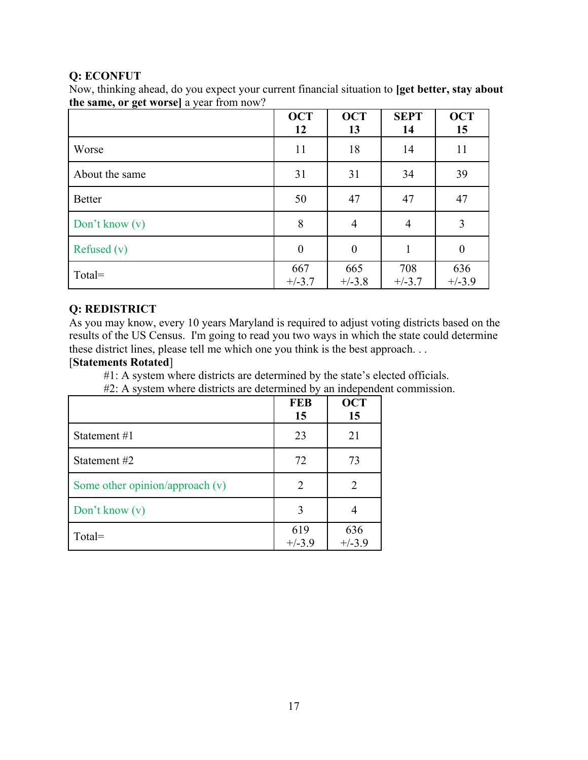#### **Q: ECONFUT**

Now, thinking ahead, do you expect your current financial situation to **[get better, stay about the same, or get worse]** a year from now?

|                  | <b>OCT</b><br>12 | <b>OCT</b><br>13 | <b>SEPT</b><br>14 | <b>OCT</b><br>15 |
|------------------|------------------|------------------|-------------------|------------------|
| Worse            | 11               | 18               | 14                | 11               |
| About the same   | 31               | 31               | 34                | 39               |
| <b>Better</b>    | 50               | 47               | 47                | 47               |
| Don't know $(v)$ | 8                | $\overline{4}$   | $\overline{4}$    | 3                |
| Refused $(v)$    | $\overline{0}$   | $\overline{0}$   |                   | $\boldsymbol{0}$ |
| Total=           | 667<br>$+/-3.7$  | 665<br>$+/-3.8$  | 708<br>$+/-3.7$   | 636<br>$+/-3.9$  |

### **Q: REDISTRICT**

As you may know, every 10 years Maryland is required to adjust voting districts based on the results of the US Census. I'm going to read you two ways in which the state could determine these district lines, please tell me which one you think is the best approach. . .

### [**Statements Rotated**]

#1: A system where districts are determined by the state's elected officials.

#2: A system where districts are determined by an independent commission.

|                                   | <b>FEB</b><br>15 | <b>OCT</b><br>15 |
|-----------------------------------|------------------|------------------|
| Statement #1                      | 23               | 21               |
| Statement #2                      | 72               | 73               |
| Some other opinion/approach $(v)$ | $\overline{2}$   |                  |
| Don't know $(v)$                  | 3                |                  |
| Total=                            | 619<br>$+/-3.9$  | 636<br>$+/-3.9$  |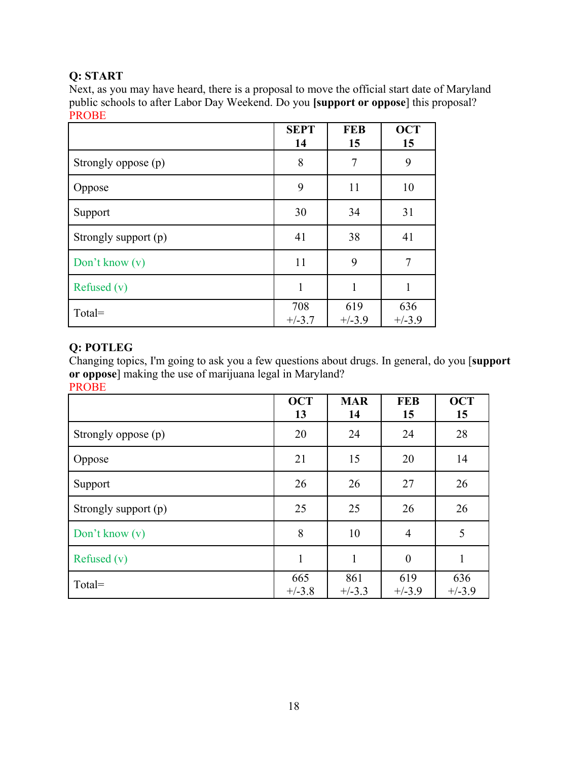# **Q: START**

Next, as you may have heard, there is a proposal to move the official start date of Maryland public schools to after Labor Day Weekend. Do you **[support or oppose**] this proposal? PROBE

|                      | <b>SEPT</b><br>14 | <b>FEB</b><br>15 | <b>OCT</b><br>15 |
|----------------------|-------------------|------------------|------------------|
| Strongly oppose (p)  | 8                 | $\overline{7}$   | 9                |
| Oppose               | 9                 | 11               | 10               |
| Support              | 30                | 34               | 31               |
| Strongly support (p) | 41                | 38               | 41               |
| Don't know $(v)$     | 11                | 9                | 7                |
| Refused $(v)$        | 1                 | 1                |                  |
| Total=               | 708<br>$+/-3.7$   | 619<br>$+/-3.9$  | 636<br>$+/-3.9$  |

### **Q: POTLEG**

Changing topics, I'm going to ask you a few questions about drugs. In general, do you [**support or oppose**] making the use of marijuana legal in Maryland? PROBE

|                      | <b>OCT</b><br>13 | <b>MAR</b><br>14 | <b>FEB</b><br>15 | <b>OCT</b><br>15 |
|----------------------|------------------|------------------|------------------|------------------|
| Strongly oppose (p)  | 20               | 24               | 24               | 28               |
| Oppose               | 21               | 15               | 20               | 14               |
| Support              | 26               | 26               | 27               | 26               |
| Strongly support (p) | 25               | 25               | 26               | 26               |
| Don't know $(v)$     | 8                | 10               | $\overline{4}$   | 5                |
| Refused $(v)$        |                  |                  | $\overline{0}$   | 1                |
| $Total =$            | 665<br>$+/-3.8$  | 861<br>$+/-3.3$  | 619<br>$+/-3.9$  | 636<br>$+/-3.9$  |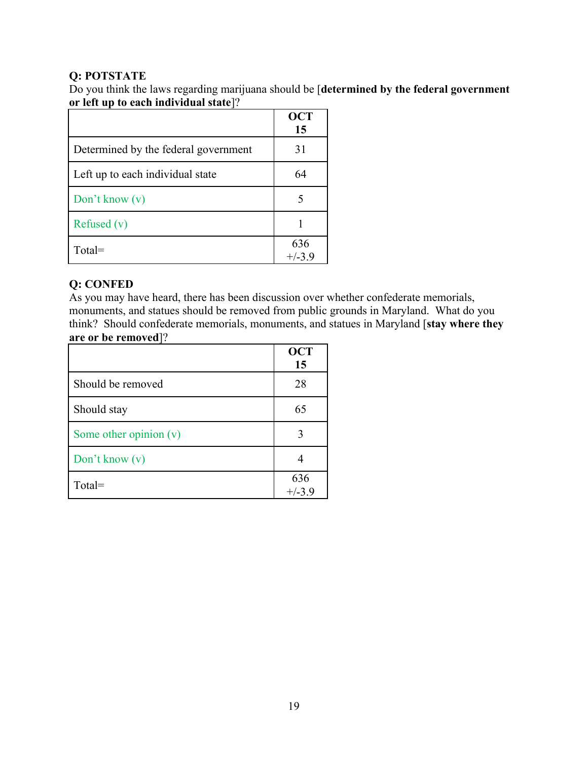### **Q: POTSTATE**

Do you think the laws regarding marijuana should be [**determined by the federal government or left up to each individual state**]?

|                                      | <b>OCT</b><br>15 |
|--------------------------------------|------------------|
| Determined by the federal government | 31               |
| Left up to each individual state     | 64               |
| Don't know $(v)$                     |                  |
| Refused $(v)$                        |                  |
| $Total =$                            | 636<br>$+/-3.9$  |

## **Q: CONFED**

As you may have heard, there has been discussion over whether confederate memorials, monuments, and statues should be removed from public grounds in Maryland. What do you think? Should confederate memorials, monuments, and statues in Maryland [**stay where they are or be removed**]?

|                          | <b>OCT</b><br>15 |
|--------------------------|------------------|
| Should be removed        | 28               |
| Should stay              | 65               |
| Some other opinion $(v)$ |                  |
| Don't know $(v)$         |                  |
| Total=                   | 636<br>$+/-3.9$  |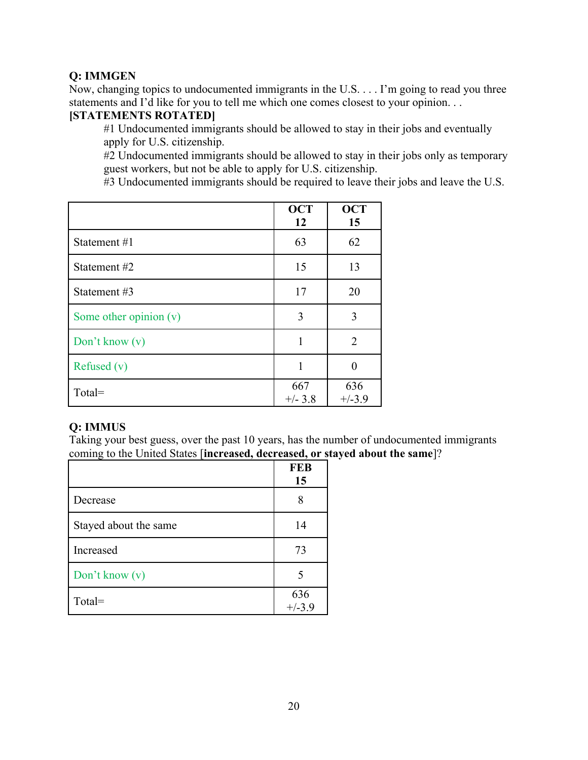### **Q: IMMGEN**

Now, changing topics to undocumented immigrants in the U.S. . . . I'm going to read you three statements and I'd like for you to tell me which one comes closest to your opinion. . .

#### **[STATEMENTS ROTATED]**

#1 Undocumented immigrants should be allowed to stay in their jobs and eventually apply for U.S. citizenship.

#2 Undocumented immigrants should be allowed to stay in their jobs only as temporary guest workers, but not be able to apply for U.S. citizenship.

#3 Undocumented immigrants should be required to leave their jobs and leave the U.S.

|                        | <b>OCT</b><br>12 | <b>OCT</b><br>15 |
|------------------------|------------------|------------------|
| Statement #1           | 63               | 62               |
| Statement #2           | 15               | 13               |
| Statement #3           | 17               | 20               |
| Some other opinion (v) | 3                | 3                |
| Don't know $(v)$       | 1                | $\overline{2}$   |
| Refused $(v)$          | 1                | 0                |
| Total=                 | 667<br>$+/- 3.8$ | 636<br>$+/-3.9$  |

#### **Q: IMMUS**

Taking your best guess, over the past 10 years, has the number of undocumented immigrants coming to the United States [**increased, decreased, or stayed about the same**]?

|                       | <b>FEB</b><br>15 |
|-----------------------|------------------|
| Decrease              | 8                |
| Stayed about the same | 14               |
| Increased             | 73               |
| Don't know (v)        | 5                |
| Total=                | 636<br>$+/-3.9$  |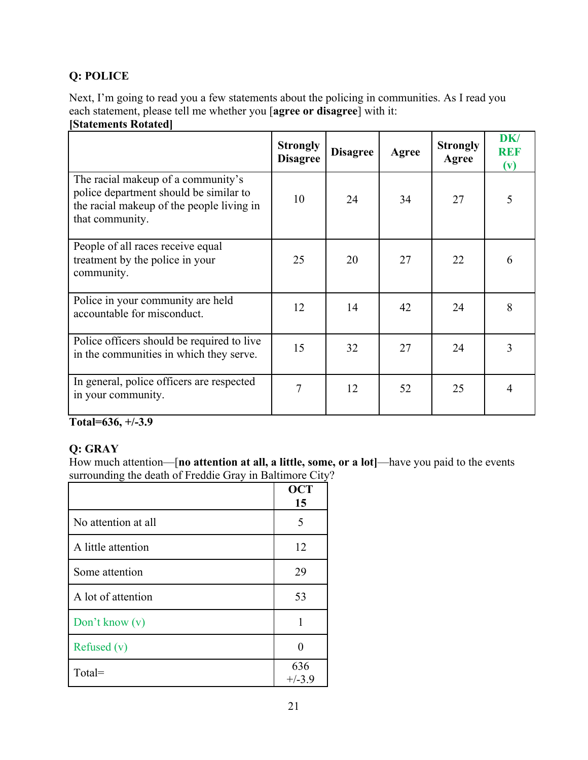# **Q: POLICE**

Next, I'm going to read you a few statements about the policing in communities. As I read you each statement, please tell me whether you [**agree or disagree**] with it:

### **[Statements Rotated]**

|                                                                                                                                              | <b>Strongly</b><br><b>Disagree</b> | <b>Disagree</b> | Agree | <b>Strongly</b><br>Agree | DK/<br><b>REF</b><br>(v) |
|----------------------------------------------------------------------------------------------------------------------------------------------|------------------------------------|-----------------|-------|--------------------------|--------------------------|
| The racial makeup of a community's<br>police department should be similar to<br>the racial makeup of the people living in<br>that community. | 10                                 | 24              | 34    | 27                       | 5                        |
| People of all races receive equal<br>treatment by the police in your<br>community.                                                           | 25                                 | 20              | 27    | 22                       | 6                        |
| Police in your community are held<br>accountable for misconduct.                                                                             | 12                                 | 14              | 42    | 24                       | 8                        |
| Police officers should be required to live<br>in the communities in which they serve.                                                        | 15                                 | 32              | 27    | 24                       | 3                        |
| In general, police officers are respected<br>in your community.                                                                              | 7                                  | 12              | 52    | 25                       | $\overline{4}$           |

**Total=636, +/-3.9**

# **Q: GRAY**

How much attention—[**no attention at all, a little, some, or a lot]**—have you paid to the events surrounding the death of Freddie Gray in Baltimore City?

|                     | <b>OCT</b><br>15 |
|---------------------|------------------|
| No attention at all | 5                |
| A little attention  | 12               |
| Some attention      | 29               |
| A lot of attention  | 53               |
| Don't know (v)      | 1                |
| Refused $(v)$       | ∩                |
| Total=              | 636<br>$+/-3.9$  |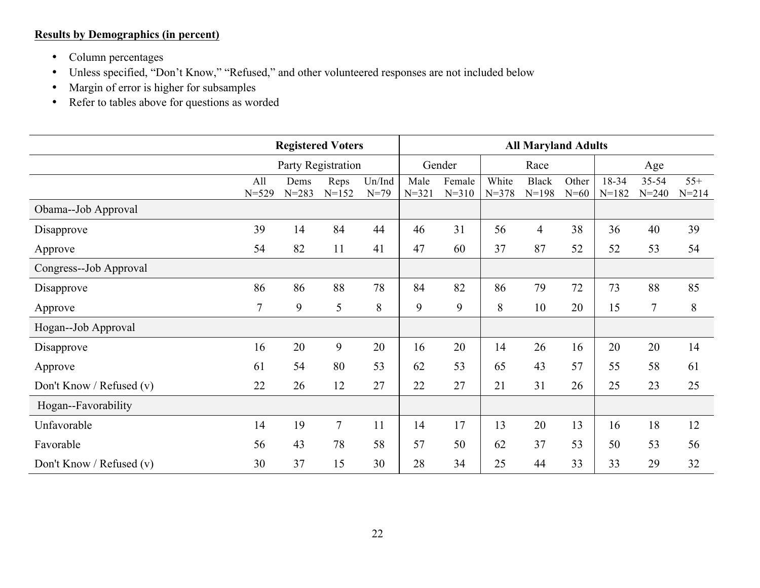## **Results by Demographics (in percent)**

- Column percentages
- Unless specified, "Don't Know," "Refused," and other volunteered responses are not included below
- Margin of error is higher for subsamples
- Refer to tables above for questions as worded

|                          | <b>Registered Voters</b> |                   |                   | <b>All Maryland Adults</b> |                   |                     |                    |                           |                 |                    |                        |                    |
|--------------------------|--------------------------|-------------------|-------------------|----------------------------|-------------------|---------------------|--------------------|---------------------------|-----------------|--------------------|------------------------|--------------------|
|                          | Party Registration       |                   | Gender            |                            | Race              |                     |                    | Age                       |                 |                    |                        |                    |
|                          | All<br>$N = 529$         | Dems<br>$N = 283$ | Reps<br>$N = 152$ | Un/Ind<br>$N=79$           | Male<br>$N = 321$ | Female<br>$N = 310$ | White<br>$N = 378$ | <b>Black</b><br>$N = 198$ | Other<br>$N=60$ | 18-34<br>$N = 182$ | $35 - 54$<br>$N = 240$ | $55+$<br>$N = 214$ |
| Obama--Job Approval      |                          |                   |                   |                            |                   |                     |                    |                           |                 |                    |                        |                    |
| Disapprove               | 39                       | 14                | 84                | 44                         | 46                | 31                  | 56                 | $\overline{4}$            | 38              | 36                 | 40                     | 39                 |
| Approve                  | 54                       | 82                | 11                | 41                         | 47                | 60                  | 37                 | 87                        | 52              | 52                 | 53                     | 54                 |
| Congress--Job Approval   |                          |                   |                   |                            |                   |                     |                    |                           |                 |                    |                        |                    |
| Disapprove               | 86                       | 86                | 88                | 78                         | 84                | 82                  | 86                 | 79                        | 72              | 73                 | 88                     | 85                 |
| Approve                  | $\overline{7}$           | 9                 | 5                 | 8                          | 9                 | 9                   | 8                  | 10                        | 20              | 15                 | $\tau$                 | 8                  |
| Hogan--Job Approval      |                          |                   |                   |                            |                   |                     |                    |                           |                 |                    |                        |                    |
| Disapprove               | 16                       | 20                | 9                 | 20                         | 16                | 20                  | 14                 | 26                        | 16              | 20                 | 20                     | 14                 |
| Approve                  | 61                       | 54                | 80                | 53                         | 62                | 53                  | 65                 | 43                        | 57              | 55                 | 58                     | 61                 |
| Don't Know / Refused (v) | 22                       | 26                | 12                | 27                         | 22                | 27                  | 21                 | 31                        | 26              | 25                 | 23                     | 25                 |
| Hogan--Favorability      |                          |                   |                   |                            |                   |                     |                    |                           |                 |                    |                        |                    |
| Unfavorable              | 14                       | 19                | $\overline{7}$    | 11                         | 14                | 17                  | 13                 | 20                        | 13              | 16                 | 18                     | 12                 |
| Favorable                | 56                       | 43                | 78                | 58                         | 57                | 50                  | 62                 | 37                        | 53              | 50                 | 53                     | 56                 |
| Don't Know / Refused (v) | 30                       | 37                | 15                | 30                         | 28                | 34                  | 25                 | 44                        | 33              | 33                 | 29                     | 32                 |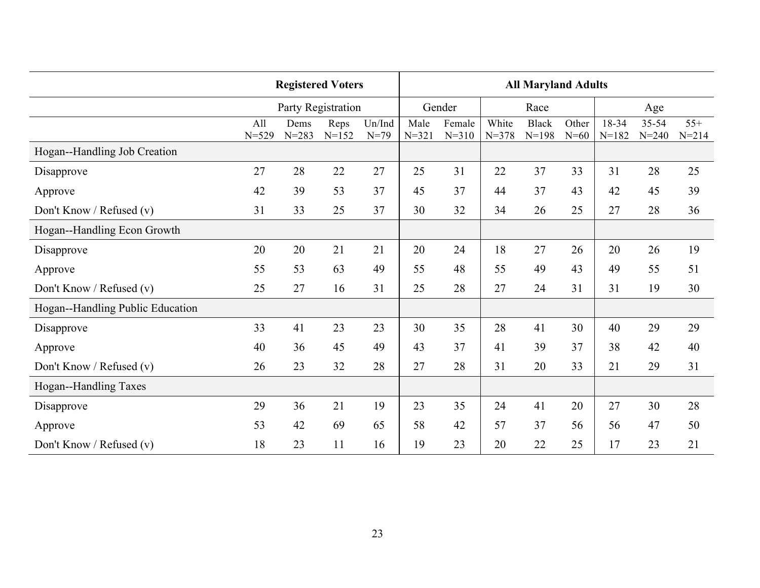|                                  | <b>Registered Voters</b> |                    |                   |                    |                   | <b>All Maryland Adults</b> |                    |                           |                 |                  |                    |                    |  |  |
|----------------------------------|--------------------------|--------------------|-------------------|--------------------|-------------------|----------------------------|--------------------|---------------------------|-----------------|------------------|--------------------|--------------------|--|--|
|                                  |                          | Party Registration |                   |                    |                   | Gender                     |                    | Race                      |                 | Age              |                    |                    |  |  |
|                                  | All<br>$N = 529$         | Dems<br>$N = 283$  | Reps<br>$N = 152$ | Un/Ind<br>$N = 79$ | Male<br>$N = 321$ | Female<br>$N = 310$        | White<br>$N = 378$ | <b>Black</b><br>$N = 198$ | Other<br>$N=60$ | 18-34<br>$N=182$ | 35-54<br>$N = 240$ | $55+$<br>$N = 214$ |  |  |
| Hogan--Handling Job Creation     |                          |                    |                   |                    |                   |                            |                    |                           |                 |                  |                    |                    |  |  |
| Disapprove                       | 27                       | 28                 | 22                | 27                 | 25                | 31                         | 22                 | 37                        | 33              | 31               | 28                 | 25                 |  |  |
| Approve                          | 42                       | 39                 | 53                | 37                 | 45                | 37                         | 44                 | 37                        | 43              | 42               | 45                 | 39                 |  |  |
| Don't Know / Refused (v)         | 31                       | 33                 | 25                | 37                 | 30                | 32                         | 34                 | 26                        | 25              | 27               | 28                 | 36                 |  |  |
| Hogan--Handling Econ Growth      |                          |                    |                   |                    |                   |                            |                    |                           |                 |                  |                    |                    |  |  |
| Disapprove                       | 20                       | 20                 | 21                | 21                 | 20                | 24                         | 18                 | 27                        | 26              | 20               | 26                 | 19                 |  |  |
| Approve                          | 55                       | 53                 | 63                | 49                 | 55                | 48                         | 55                 | 49                        | 43              | 49               | 55                 | 51                 |  |  |
| Don't Know / Refused (v)         | 25                       | 27                 | 16                | 31                 | 25                | 28                         | 27                 | 24                        | 31              | 31               | 19                 | 30                 |  |  |
| Hogan--Handling Public Education |                          |                    |                   |                    |                   |                            |                    |                           |                 |                  |                    |                    |  |  |
| Disapprove                       | 33                       | 41                 | 23                | 23                 | 30                | 35                         | 28                 | 41                        | 30              | 40               | 29                 | 29                 |  |  |
| Approve                          | 40                       | 36                 | 45                | 49                 | 43                | 37                         | 41                 | 39                        | 37              | 38               | 42                 | 40                 |  |  |
| Don't Know / Refused (v)         | 26                       | 23                 | 32                | 28                 | 27                | 28                         | 31                 | 20                        | 33              | 21               | 29                 | 31                 |  |  |
| Hogan--Handling Taxes            |                          |                    |                   |                    |                   |                            |                    |                           |                 |                  |                    |                    |  |  |
| Disapprove                       | 29                       | 36                 | 21                | 19                 | 23                | 35                         | 24                 | 41                        | 20              | 27               | 30                 | 28                 |  |  |
| Approve                          | 53                       | 42                 | 69                | 65                 | 58                | 42                         | 57                 | 37                        | 56              | 56               | 47                 | 50                 |  |  |
| Don't Know / Refused (v)         | 18                       | 23                 | 11                | 16                 | 19                | 23                         | 20                 | 22                        | 25              | 17               | 23                 | 21                 |  |  |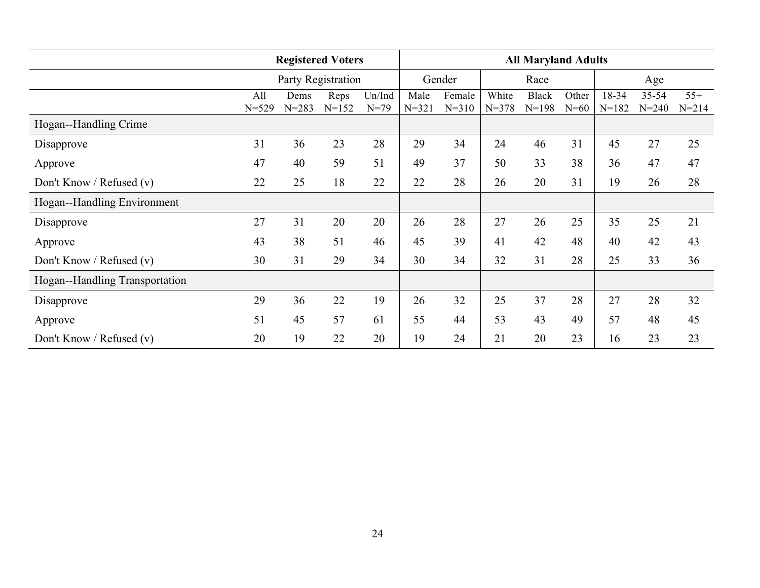|                                | <b>Registered Voters</b> |                   |                   |                    | <b>All Maryland Adults</b> |                     |                    |                         |                 |                    |                    |                    |
|--------------------------------|--------------------------|-------------------|-------------------|--------------------|----------------------------|---------------------|--------------------|-------------------------|-----------------|--------------------|--------------------|--------------------|
|                                | Party Registration       |                   |                   |                    | Gender                     |                     | Race               |                         |                 | Age                |                    |                    |
|                                | All<br>$N = 529$         | Dems<br>$N = 283$ | Reps<br>$N = 152$ | Un/Ind<br>$N = 79$ | Male<br>$N = 321$          | Female<br>$N = 310$ | White<br>$N = 378$ | <b>Black</b><br>$N=198$ | Other<br>$N=60$ | 18-34<br>$N = 182$ | 35-54<br>$N = 240$ | $55+$<br>$N = 214$ |
| Hogan--Handling Crime          |                          |                   |                   |                    |                            |                     |                    |                         |                 |                    |                    |                    |
| Disapprove                     | 31                       | 36                | 23                | 28                 | 29                         | 34                  | 24                 | 46                      | 31              | 45                 | 27                 | 25                 |
| Approve                        | 47                       | 40                | 59                | 51                 | 49                         | 37                  | 50                 | 33                      | 38              | 36                 | 47                 | 47                 |
| Don't Know / Refused $(v)$     | 22                       | 25                | 18                | 22                 | 22                         | 28                  | 26                 | 20                      | 31              | 19                 | 26                 | 28                 |
| Hogan--Handling Environment    |                          |                   |                   |                    |                            |                     |                    |                         |                 |                    |                    |                    |
| Disapprove                     | 27                       | 31                | 20                | 20                 | 26                         | 28                  | 27                 | 26                      | 25              | 35                 | 25                 | 21                 |
| Approve                        | 43                       | 38                | 51                | 46                 | 45                         | 39                  | 41                 | 42                      | 48              | 40                 | 42                 | 43                 |
| Don't Know / Refused $(v)$     | 30                       | 31                | 29                | 34                 | 30                         | 34                  | 32                 | 31                      | 28              | 25                 | 33                 | 36                 |
| Hogan--Handling Transportation |                          |                   |                   |                    |                            |                     |                    |                         |                 |                    |                    |                    |
| Disapprove                     | 29                       | 36                | 22                | 19                 | 26                         | 32                  | 25                 | 37                      | 28              | 27                 | 28                 | 32                 |
| Approve                        | 51                       | 45                | 57                | 61                 | 55                         | 44                  | 53                 | 43                      | 49              | 57                 | 48                 | 45                 |
| Don't Know / Refused (v)       | 20                       | 19                | 22                | 20                 | 19                         | 24                  | 21                 | 20                      | 23              | 16                 | 23                 | 23                 |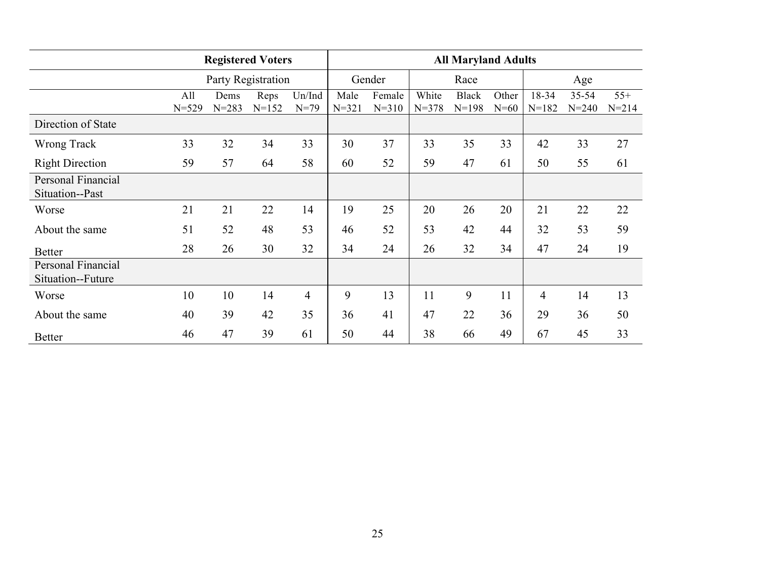|                                         | <b>Registered Voters</b> |                   |                   |                  | <b>All Maryland Adults</b> |                     |                    |                           |                 |                    |                        |                    |  |
|-----------------------------------------|--------------------------|-------------------|-------------------|------------------|----------------------------|---------------------|--------------------|---------------------------|-----------------|--------------------|------------------------|--------------------|--|
|                                         | Party Registration       |                   |                   |                  | Race<br>Gender             |                     |                    |                           | Age             |                    |                        |                    |  |
|                                         | All<br>$N = 529$         | Dems<br>$N = 283$ | Reps<br>$N = 152$ | Un/Ind<br>$N=79$ | Male<br>$N = 321$          | Female<br>$N = 310$ | White<br>$N = 378$ | <b>Black</b><br>$N = 198$ | Other<br>$N=60$ | 18-34<br>$N = 182$ | $35 - 54$<br>$N = 240$ | $55+$<br>$N = 214$ |  |
| Direction of State                      |                          |                   |                   |                  |                            |                     |                    |                           |                 |                    |                        |                    |  |
| Wrong Track                             | 33                       | 32                | 34                | 33               | 30                         | 37                  | 33                 | 35                        | 33              | 42                 | 33                     | 27                 |  |
| <b>Right Direction</b>                  | 59                       | 57                | 64                | 58               | 60                         | 52                  | 59                 | 47                        | 61              | 50                 | 55                     | 61                 |  |
| Personal Financial<br>Situation--Past   |                          |                   |                   |                  |                            |                     |                    |                           |                 |                    |                        |                    |  |
| Worse                                   | 21                       | 21                | 22                | 14               | 19                         | 25                  | 20                 | 26                        | 20              | 21                 | 22                     | 22                 |  |
| About the same                          | 51                       | 52                | 48                | 53               | 46                         | 52                  | 53                 | 42                        | 44              | 32                 | 53                     | 59                 |  |
| <b>Better</b>                           | 28                       | 26                | 30                | 32               | 34                         | 24                  | 26                 | 32                        | 34              | 47                 | 24                     | 19                 |  |
| Personal Financial<br>Situation--Future |                          |                   |                   |                  |                            |                     |                    |                           |                 |                    |                        |                    |  |
| Worse                                   | 10                       | 10                | 14                | $\overline{4}$   | 9                          | 13                  | 11                 | 9                         | 11              | $\overline{4}$     | 14                     | 13                 |  |
| About the same                          | 40                       | 39                | 42                | 35               | 36                         | 41                  | 47                 | 22                        | 36              | 29                 | 36                     | 50                 |  |
| <b>Better</b>                           | 46                       | 47                | 39                | 61               | 50                         | 44                  | 38                 | 66                        | 49              | 67                 | 45                     | 33                 |  |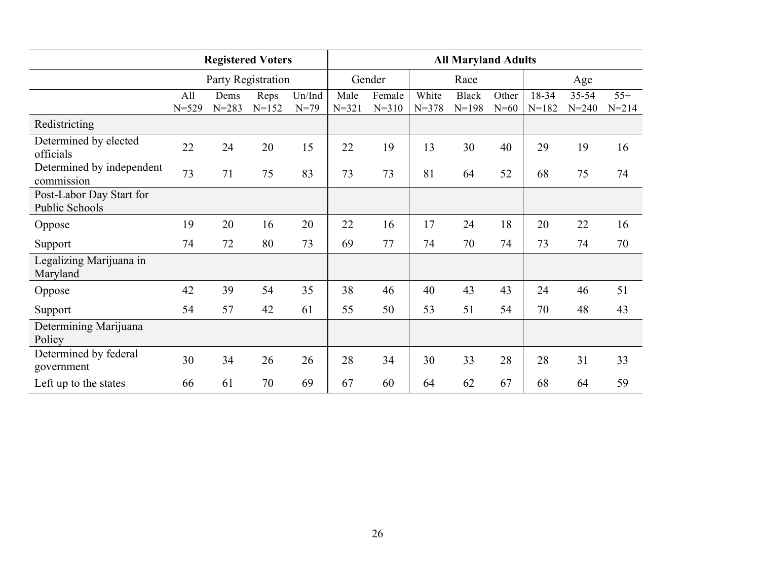|                                            | <b>Registered Voters</b> |                   |                   |                    |                   | <b>All Maryland Adults</b> |                    |                           |                 |                  |                    |                    |  |  |
|--------------------------------------------|--------------------------|-------------------|-------------------|--------------------|-------------------|----------------------------|--------------------|---------------------------|-----------------|------------------|--------------------|--------------------|--|--|
|                                            | Party Registration       |                   |                   |                    | Gender            |                            |                    |                           | Race<br>Age     |                  |                    |                    |  |  |
|                                            | All<br>$N = 529$         | Dems<br>$N = 283$ | Reps<br>$N = 152$ | Un/Ind<br>$N = 79$ | Male<br>$N = 321$ | Female<br>$N = 310$        | White<br>$N = 378$ | <b>Black</b><br>$N = 198$ | Other<br>$N=60$ | 18-34<br>$N=182$ | 35-54<br>$N = 240$ | $55+$<br>$N = 214$ |  |  |
| Redistricting                              |                          |                   |                   |                    |                   |                            |                    |                           |                 |                  |                    |                    |  |  |
| Determined by elected<br>officials         | 22                       | 24                | 20                | 15                 | 22                | 19                         | 13                 | 30                        | 40              | 29               | 19                 | 16                 |  |  |
| Determined by independent<br>commission    | 73                       | 71                | 75                | 83                 | 73                | 73                         | 81                 | 64                        | 52              | 68               | 75                 | 74                 |  |  |
| Post-Labor Day Start for<br>Public Schools |                          |                   |                   |                    |                   |                            |                    |                           |                 |                  |                    |                    |  |  |
| Oppose                                     | 19                       | 20                | 16                | 20                 | 22                | 16                         | 17                 | 24                        | 18              | 20               | 22                 | 16                 |  |  |
| Support                                    | 74                       | 72                | 80                | 73                 | 69                | 77                         | 74                 | 70                        | 74              | 73               | 74                 | 70                 |  |  |
| Legalizing Marijuana in<br>Maryland        |                          |                   |                   |                    |                   |                            |                    |                           |                 |                  |                    |                    |  |  |
| Oppose                                     | 42                       | 39                | 54                | 35                 | 38                | 46                         | 40                 | 43                        | 43              | 24               | 46                 | 51                 |  |  |
| Support                                    | 54                       | 57                | 42                | 61                 | 55                | 50                         | 53                 | 51                        | 54              | 70               | 48                 | 43                 |  |  |
| Determining Marijuana<br>Policy            |                          |                   |                   |                    |                   |                            |                    |                           |                 |                  |                    |                    |  |  |
| Determined by federal<br>government        | 30                       | 34                | 26                | 26                 | 28                | 34                         | 30                 | 33                        | 28              | 28               | 31                 | 33                 |  |  |
| Left up to the states                      | 66                       | 61                | 70                | 69                 | 67                | 60                         | 64                 | 62                        | 67              | 68               | 64                 | 59                 |  |  |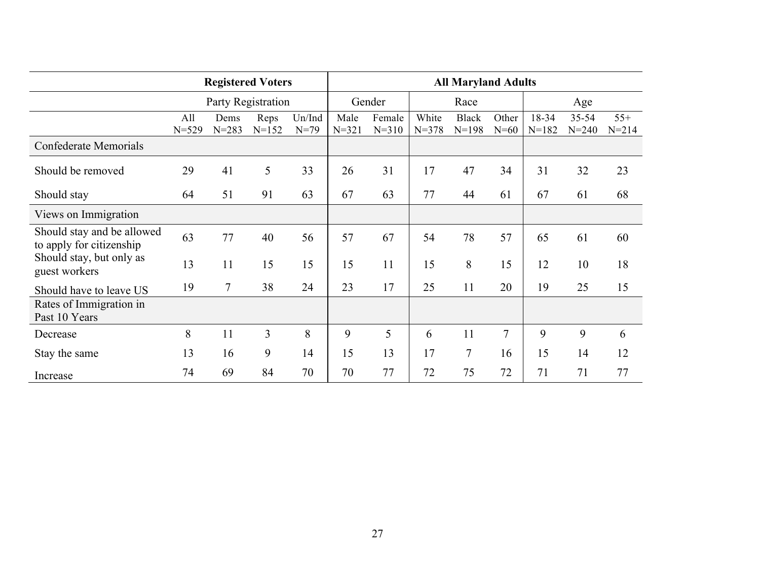|                                                        |                    | <b>Registered Voters</b> |                   |                    | <b>All Maryland Adults</b> |                     |                    |                           |                 |                    |                        |                    |  |
|--------------------------------------------------------|--------------------|--------------------------|-------------------|--------------------|----------------------------|---------------------|--------------------|---------------------------|-----------------|--------------------|------------------------|--------------------|--|
|                                                        | Party Registration |                          |                   |                    | Gender<br>Race             |                     |                    |                           |                 | Age                |                        |                    |  |
|                                                        | All<br>$N = 529$   | Dems<br>$N = 283$        | Reps<br>$N = 152$ | Un/Ind<br>$N = 79$ | Male<br>$N = 321$          | Female<br>$N = 310$ | White<br>$N = 378$ | <b>Black</b><br>$N = 198$ | Other<br>$N=60$ | 18-34<br>$N = 182$ | $35 - 54$<br>$N = 240$ | $55+$<br>$N = 214$ |  |
| Confederate Memorials                                  |                    |                          |                   |                    |                            |                     |                    |                           |                 |                    |                        |                    |  |
| Should be removed                                      | 29                 | 41                       | 5                 | 33                 | 26                         | 31                  | 17                 | 47                        | 34              | 31                 | 32                     | 23                 |  |
| Should stay                                            | 64                 | 51                       | 91                | 63                 | 67                         | 63                  | 77                 | 44                        | 61              | 67                 | 61                     | 68                 |  |
| Views on Immigration                                   |                    |                          |                   |                    |                            |                     |                    |                           |                 |                    |                        |                    |  |
| Should stay and be allowed<br>to apply for citizenship | 63                 | 77                       | 40                | 56                 | 57                         | 67                  | 54                 | 78                        | 57              | 65                 | 61                     | 60                 |  |
| Should stay, but only as<br>guest workers              | 13                 | 11                       | 15                | 15                 | 15                         | 11                  | 15                 | 8                         | 15              | 12                 | 10                     | 18                 |  |
| Should have to leave US                                | 19                 | 7                        | 38                | 24                 | 23                         | 17                  | 25                 | 11                        | 20              | 19                 | 25                     | 15                 |  |
| Rates of Immigration in<br>Past 10 Years               |                    |                          |                   |                    |                            |                     |                    |                           |                 |                    |                        |                    |  |
| Decrease                                               | 8                  | 11                       | $\overline{3}$    | 8                  | 9                          | 5                   | 6                  | 11                        | $\overline{7}$  | 9                  | 9                      | 6                  |  |
| Stay the same                                          | 13                 | 16                       | 9                 | 14                 | 15                         | 13                  | 17                 | $\overline{7}$            | 16              | 15                 | 14                     | 12                 |  |
| Increase                                               | 74                 | 69                       | 84                | 70                 | 70                         | 77                  | 72                 | 75                        | 72              | 71                 | 71                     | 77                 |  |